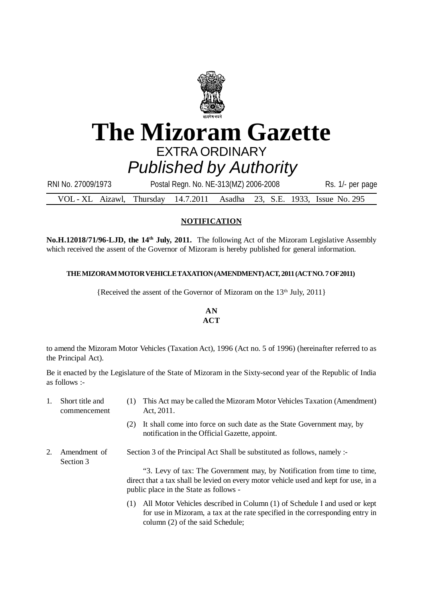

# **The Mizoram Gazette** EXTRA ORDINARY *Published by Authority*

| RNI No. 27009/1973                                                      | Postal Regn. No. NE-313(MZ) 2006-2008 |  | Rs. 1/- per page |
|-------------------------------------------------------------------------|---------------------------------------|--|------------------|
| VOL - XL Aizawl, Thursday 14.7.2011 Asadha 23, S.E. 1933, Issue No. 295 |                                       |  |                  |

### **NOTIFICATION**

**No.H.12018/71/96-LJD, the 14th July, 2011.** The following Act of the Mizoram Legislative Assembly which received the assent of the Governor of Mizoram is hereby published for general information.

### **THE MIZORAM MOTOR VEHICLE TAXATION (AMENDMENT) ACT, 2011 (ACT NO. 7 OF 2011)**

{Received the assent of the Governor of Mizoram on the 13<sup>th</sup> July, 2011}

### **AN ACT**

to amend the Mizoram Motor Vehicles (Taxation Act), 1996 (Act no. 5 of 1996) (hereinafter referred to as the Principal Act).

Be it enacted by the Legislature of the State of Mizoram in the Sixty-second year of the Republic of India as follows :-

- 1. Short title and (1) This Act may be called the Mizoram Motor Vehicles Taxation (Amendment) commencement Act, 2011.
	- (2) It shall come into force on such date as the State Government may, by notification in the Official Gazette, appoint.
- 2. Amendment of Section 3 of the Principal Act Shall be substituted as follows, namely :- Section 3

"3. Levy of tax: The Government may, by Notification from time to time, direct that a tax shall be levied on every motor vehicle used and kept for use, in a public place in the State as follows -

(1) All Motor Vehicles described in Column (1) of Schedule I and used or kept for use in Mizoram, a tax at the rate specified in the corresponding entry in column (2) of the said Schedule;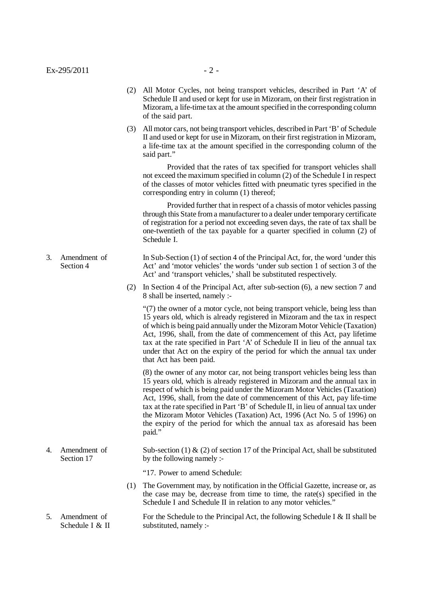(3) All motor cars, not being transport vehicles, described in Part 'B' of Schedule II and used or kept for use in Mizoram, on their first registration in Mizoram, a life-time tax at the amount specified in the corresponding column of the said part."

Provided that the rates of tax specified for transport vehicles shall not exceed the maximum specified in column (2) of the Schedule I in respect of the classes of motor vehicles fitted with pneumatic tyres specified in the corresponding entry in column (1) thereof;

Provided further that in respect of a chassis of motor vehicles passing through this State from a manufacturer to a dealer under temporary certificate of registration for a period not exceeding seven days, the rate of tax shall be one-twentieth of the tax payable for a quarter specified in column (2) of Schedule I.

- 3. Amendment of In Sub-Section (1) of section 4 of the Principal Act, for, the word 'under this Section 4 Act' and 'motor vehicles' the words 'under sub section 1 of section 3 of the Act' and 'transport vehicles,' shall be substituted respectively.
	- (2) In Section 4 of the Principal Act, after sub-section (6), a new section 7 and 8 shall be inserted, namely :-

"(7) the owner of a motor cycle, not being transport vehicle, being less than 15 years old, which is already registered in Mizoram and the tax in respect of which is being paid annually under the Mizoram Motor Vehicle (Taxation) Act, 1996, shall, from the date of commencement of this Act, pay lifetime tax at the rate specified in Part 'A' of Schedule II in lieu of the annual tax under that Act on the expiry of the period for which the annual tax under that Act has been paid.

(8) the owner of any motor car, not being transport vehicles being less than 15 years old, which is already registered in Mizoram and the annual tax in respect of which is being paid under the Mizoram Motor Vehicles (Taxation) Act, 1996, shall, from the date of commencement of this Act, pay life-time tax at the rate specified in Part 'B' of Schedule II, in lieu of annual tax under the Mizoram Motor Vehicles (Taxation) Act, 1996 (Act No. 5 of 1996) on the expiry of the period for which the annual tax as aforesaid has been paid."

4. Amendment of Sub-section (1)  $\&$  (2) of section 17 of the Principal Act, shall be substituted Section 17 by the following namely :-

"17. Power to amend Schedule:

- (1) The Government may, by notification in the Official Gazette, increase or, as the case may be, decrease from time to time, the rate(s) specified in the Schedule I and Schedule II in relation to any motor vehicles."
- 5. Amendment of For the Schedule to the Principal Act, the following Schedule I & II shall be Schedule I & II substituted, namely :-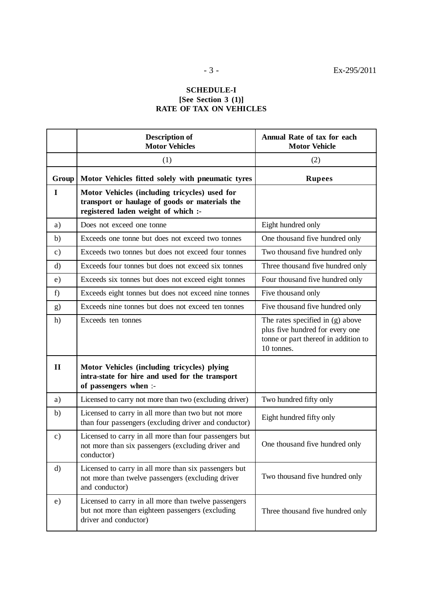### **SCHEDULE-I [See Section 3 (1)] RATE OF TAX ON VEHICLES**

|               | <b>Description of</b><br><b>Motor Vehicles</b>                                                                                         | Annual Rate of tax for each<br><b>Motor Vehicle</b>                                                                       |  |  |
|---------------|----------------------------------------------------------------------------------------------------------------------------------------|---------------------------------------------------------------------------------------------------------------------------|--|--|
|               | (1)                                                                                                                                    | (2)                                                                                                                       |  |  |
| Group         | Motor Vehicles fitted solely with pneumatic tyres                                                                                      | <b>Rupees</b>                                                                                                             |  |  |
| $\mathbf I$   | Motor Vehicles (including tricycles) used for<br>transport or haulage of goods or materials the<br>registered laden weight of which :- |                                                                                                                           |  |  |
| a)            | Does not exceed one tonne                                                                                                              | Eight hundred only                                                                                                        |  |  |
| b)            | Exceeds one tonne but does not exceed two tonnes                                                                                       | One thousand five hundred only                                                                                            |  |  |
| $\mathbf{c})$ | Exceeds two tonnes but does not exceed four tonnes                                                                                     | Two thousand five hundred only                                                                                            |  |  |
| $\rm d$       | Exceeds four tonnes but does not exceed six tonnes                                                                                     | Three thousand five hundred only                                                                                          |  |  |
| e)            | Exceeds six tonnes but does not exceed eight tonnes                                                                                    | Four thousand five hundred only                                                                                           |  |  |
| f)            | Exceeds eight tonnes but does not exceed nine tonnes                                                                                   | Five thousand only                                                                                                        |  |  |
| g)            | Exceeds nine tonnes but does not exceed ten tonnes                                                                                     | Five thousand five hundred only                                                                                           |  |  |
| h)            | Exceeds ten tonnes                                                                                                                     | The rates specified in (g) above<br>plus five hundred for every one<br>tonne or part thereof in addition to<br>10 tonnes. |  |  |
| $\mathbf{I}$  | Motor Vehicles (including tricycles) plying<br>intra-state for hire and used for the transport<br>of passengers when :-                |                                                                                                                           |  |  |
| a)            | Licensed to carry not more than two (excluding driver)                                                                                 | Two hundred fifty only                                                                                                    |  |  |
| b)            | Licensed to carry in all more than two but not more<br>than four passengers (excluding driver and conductor)                           | Eight hundred fifty only                                                                                                  |  |  |
| $\mathbf{c})$ | Licensed to carry in all more than four passengers but<br>not more than six passengers (excluding driver and<br>conductor)             | One thousand five hundred only                                                                                            |  |  |
| $\mathbf{d}$  | Licensed to carry in all more than six passengers but<br>not more than twelve passengers (excluding driver<br>and conductor)           | Two thousand five hundred only                                                                                            |  |  |
| e)            | Licensed to carry in all more than twelve passengers<br>but not more than eighteen passengers (excluding<br>driver and conductor)      | Three thousand five hundred only                                                                                          |  |  |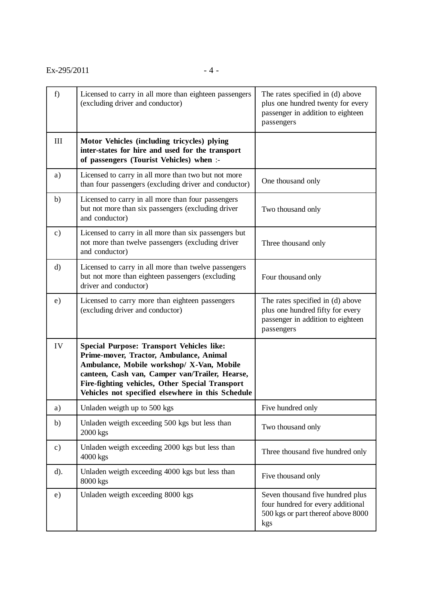| f)            | Licensed to carry in all more than eighteen passengers<br>(excluding driver and conductor)                                                                                                                                                                                                         | The rates specified in (d) above<br>plus one hundred twenty for every<br>passenger in addition to eighteen<br>passengers |  |
|---------------|----------------------------------------------------------------------------------------------------------------------------------------------------------------------------------------------------------------------------------------------------------------------------------------------------|--------------------------------------------------------------------------------------------------------------------------|--|
| III           | Motor Vehicles (including tricycles) plying<br>inter-states for hire and used for the transport<br>of passengers (Tourist Vehicles) when :-                                                                                                                                                        |                                                                                                                          |  |
| a)            | Licensed to carry in all more than two but not more<br>than four passengers (excluding driver and conductor)                                                                                                                                                                                       | One thousand only                                                                                                        |  |
| b)            | Licensed to carry in all more than four passengers<br>but not more than six passengers (excluding driver<br>and conductor)                                                                                                                                                                         | Two thousand only                                                                                                        |  |
| $\mathbf{c})$ | Licensed to carry in all more than six passengers but<br>not more than twelve passengers (excluding driver<br>and conductor)                                                                                                                                                                       | Three thousand only                                                                                                      |  |
| $\mathbf{d}$  | Licensed to carry in all more than twelve passengers<br>but not more than eighteen passengers (excluding<br>driver and conductor)                                                                                                                                                                  | Four thousand only                                                                                                       |  |
| e)            | Licensed to carry more than eighteen passengers<br>(excluding driver and conductor)                                                                                                                                                                                                                | The rates specified in (d) above<br>plus one hundred fifty for every<br>passenger in addition to eighteen<br>passengers  |  |
| IV            | <b>Special Purpose: Transport Vehicles like:</b><br>Prime-mover, Tractor, Ambulance, Animal<br>Ambulance, Mobile workshop/ X-Van, Mobile<br>canteen, Cash van, Camper van/Trailer, Hearse,<br>Fire-fighting vehicles, Other Special Transport<br>Vehicles not specified elsewhere in this Schedule |                                                                                                                          |  |
| a)            | Unladen weigth up to 500 kgs                                                                                                                                                                                                                                                                       | Five hundred only                                                                                                        |  |
| b)            | Unladen weigth exceeding 500 kgs but less than<br>$2000$ kgs                                                                                                                                                                                                                                       | Two thousand only                                                                                                        |  |
| c)            | Unladen weigth exceeding 2000 kgs but less than<br>$4000$ kgs                                                                                                                                                                                                                                      | Three thousand five hundred only                                                                                         |  |
| $d$ ).        | Unladen weigth exceeding 4000 kgs but less than<br>8000 kgs                                                                                                                                                                                                                                        | Five thousand only                                                                                                       |  |
| e)            | Unladen weigth exceeding 8000 kgs                                                                                                                                                                                                                                                                  | Seven thousand five hundred plus<br>four hundred for every additional<br>500 kgs or part thereof above 8000<br>kgs       |  |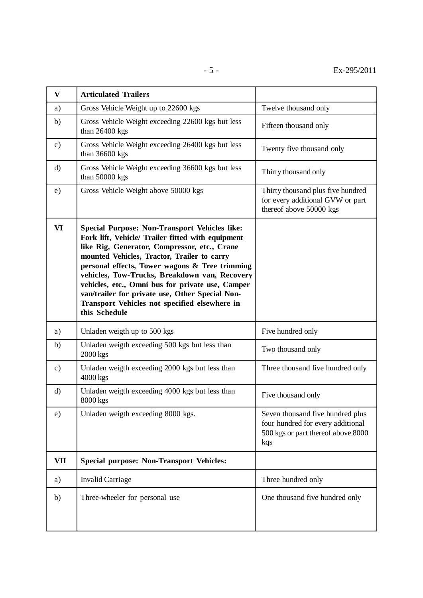| $\mathbf{V}$  | <b>Articulated Trailers</b>                                                                                                                                                                                                                                                                                                                                                                                                                                                          |                                                                                                                    |
|---------------|--------------------------------------------------------------------------------------------------------------------------------------------------------------------------------------------------------------------------------------------------------------------------------------------------------------------------------------------------------------------------------------------------------------------------------------------------------------------------------------|--------------------------------------------------------------------------------------------------------------------|
| a)            | Gross Vehicle Weight up to 22600 kgs                                                                                                                                                                                                                                                                                                                                                                                                                                                 | Twelve thousand only                                                                                               |
| b)            | Gross Vehicle Weight exceeding 22600 kgs but less<br>than 26400 kgs                                                                                                                                                                                                                                                                                                                                                                                                                  | Fifteen thousand only                                                                                              |
| $\mathbf{c})$ | Gross Vehicle Weight exceeding 26400 kgs but less<br>than 36600 kgs                                                                                                                                                                                                                                                                                                                                                                                                                  | Twenty five thousand only                                                                                          |
| $\mathbf{d}$  | Gross Vehicle Weight exceeding 36600 kgs but less<br>than 50000 kgs                                                                                                                                                                                                                                                                                                                                                                                                                  | Thirty thousand only                                                                                               |
| e)            | Gross Vehicle Weight above 50000 kgs                                                                                                                                                                                                                                                                                                                                                                                                                                                 | Thirty thousand plus five hundred<br>for every additional GVW or part<br>thereof above 50000 kgs                   |
| VI            | <b>Special Purpose: Non-Transport Vehicles like:</b><br>Fork lift, Vehicle/ Trailer fitted with equipment<br>like Rig, Generator, Compressor, etc., Crane<br>mounted Vehicles, Tractor, Trailer to carry<br>personal effects, Tower wagons & Tree trimming<br>vehicles, Tow-Trucks, Breakdown van, Recovery<br>vehicles, etc., Omni bus for private use, Camper<br>van/trailer for private use, Other Special Non-<br>Transport Vehicles not specified elsewhere in<br>this Schedule |                                                                                                                    |
| a)            | Unladen weigth up to 500 kgs                                                                                                                                                                                                                                                                                                                                                                                                                                                         | Five hundred only                                                                                                  |
| b)            | Unladen weigth exceeding 500 kgs but less than<br>2000 kgs                                                                                                                                                                                                                                                                                                                                                                                                                           | Two thousand only                                                                                                  |
| $\mathbf{c})$ | Unladen weigth exceeding 2000 kgs but less than<br>4000 kgs                                                                                                                                                                                                                                                                                                                                                                                                                          | Three thousand five hundred only                                                                                   |
| $\rm d)$      | Unladen weigth exceeding 4000 kgs but less than<br>8000 kgs                                                                                                                                                                                                                                                                                                                                                                                                                          | Five thousand only                                                                                                 |
| e)            | Unladen weigth exceeding 8000 kgs.                                                                                                                                                                                                                                                                                                                                                                                                                                                   | Seven thousand five hundred plus<br>four hundred for every additional<br>500 kgs or part thereof above 8000<br>kqs |
| VII           | <b>Special purpose: Non-Transport Vehicles:</b>                                                                                                                                                                                                                                                                                                                                                                                                                                      |                                                                                                                    |
| a)            | <b>Invalid Carriage</b>                                                                                                                                                                                                                                                                                                                                                                                                                                                              | Three hundred only                                                                                                 |
| b)            | Three-wheeler for personal use                                                                                                                                                                                                                                                                                                                                                                                                                                                       | One thousand five hundred only                                                                                     |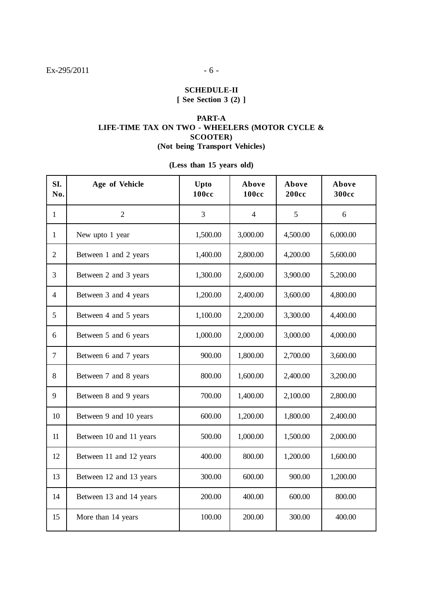### **SCHEDULE-II**

**[ See Section 3 (2) ]**

### **PART-A LIFE-TIME TAX ON TWO - WHEELERS (MOTOR CYCLE & SCOOTER) (Not being Transport Vehicles)**

## **(Less than 15 years old)**

| SI.<br>No.     | Age of Vehicle          | Upto<br><b>100cc</b> | Above<br><b>100cc</b> | Above<br><b>200cc</b> | Above<br><b>300cc</b> |
|----------------|-------------------------|----------------------|-----------------------|-----------------------|-----------------------|
| $\mathbf{1}$   | $\overline{2}$          | 3                    | $\overline{4}$        | 5                     | 6                     |
| $\mathbf{1}$   | New upto 1 year         | 1,500.00             | 3,000.00              | 4,500.00              | 6,000.00              |
| $\overline{2}$ | Between 1 and 2 years   | 1,400.00             | 2,800.00              | 4,200.00              | 5,600.00              |
| 3              | Between 2 and 3 years   | 1,300.00             | 2,600.00              | 3,900.00              | 5,200.00              |
| $\overline{4}$ | Between 3 and 4 years   | 1,200.00             | 2,400.00              | 3,600.00              | 4,800.00              |
| 5              | Between 4 and 5 years   | 1,100.00             | 2,200.00              | 3,300.00              | 4,400.00              |
| 6              | Between 5 and 6 years   | 1,000.00             | 2,000.00              | 3,000.00              | 4,000.00              |
| $\overline{7}$ | Between 6 and 7 years   | 900.00               | 1,800.00              | 2,700.00              | 3,600.00              |
| 8              | Between 7 and 8 years   | 800.00               | 1,600.00              | 2,400.00              | 3,200.00              |
| 9              | Between 8 and 9 years   | 700.00               | 1,400.00              | 2,100.00              | 2,800.00              |
| 10             | Between 9 and 10 years  | 600.00               | 1,200.00              | 1,800.00              | 2,400.00              |
| 11             | Between 10 and 11 years | 500.00               | 1,000.00              | 1,500.00              | 2,000.00              |
| 12             | Between 11 and 12 years | 400.00               | 800.00                | 1,200.00              | 1,600.00              |
| 13             | Between 12 and 13 years | 300.00               | 600.00                | 900.00                | 1,200.00              |
| 14             | Between 13 and 14 years | 200.00               | 400.00                | 600.00                | 800.00                |
| 15             | More than 14 years      | 100.00               | 200.00                | 300.00                | 400.00                |